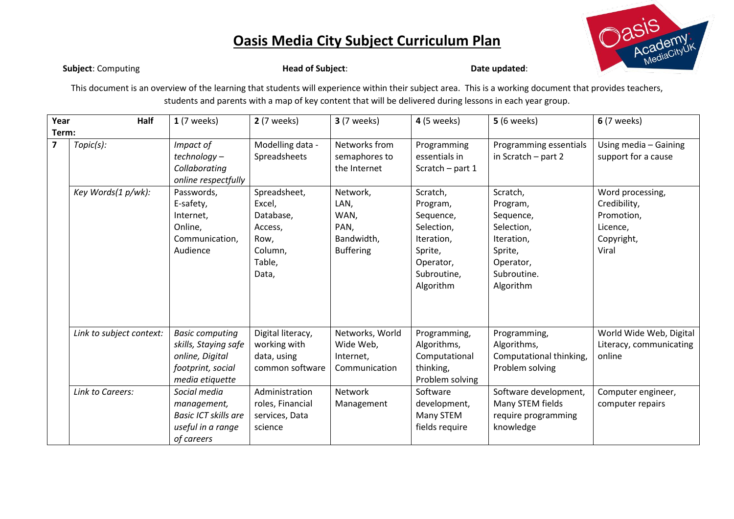

**Subject:** Computing **Head of Subject: Computing in the UPS** of Subject: **Date updated**:

This document is an overview of the learning that students will experience within their subject area. This is a working document that provides teachers, students and parents with a map of key content that will be delivered during lessons in each year group.

| Year<br>Half            |                          | $1(7$ weeks)                                                                                              | <b>2</b> (7 weeks)                                                                   | <b>3</b> (7 weeks)                                                 | <b>4</b> (5 weeks)                                                                                                | <b>5</b> (6 weeks)                                                                                                | <b>6</b> (7 weeks)                                                                |
|-------------------------|--------------------------|-----------------------------------------------------------------------------------------------------------|--------------------------------------------------------------------------------------|--------------------------------------------------------------------|-------------------------------------------------------------------------------------------------------------------|-------------------------------------------------------------------------------------------------------------------|-----------------------------------------------------------------------------------|
| Term:                   |                          |                                                                                                           |                                                                                      |                                                                    |                                                                                                                   |                                                                                                                   |                                                                                   |
| $\overline{\mathbf{z}}$ | Topic(s):                | Impact of<br>technology-<br>Collaborating<br>online respectfully                                          | Modelling data -<br>Spreadsheets                                                     | Networks from<br>semaphores to<br>the Internet                     | Programming<br>essentials in<br>Scratch - part 1                                                                  | Programming essentials<br>in Scratch - part 2                                                                     | Using media - Gaining<br>support for a cause                                      |
|                         | Key Words(1 p/wk):       | Passwords,<br>E-safety,<br>Internet,<br>Online,<br>Communication,<br>Audience                             | Spreadsheet,<br>Excel,<br>Database,<br>Access,<br>Row,<br>Column,<br>Table,<br>Data, | Network,<br>LAN,<br>WAN,<br>PAN,<br>Bandwidth,<br><b>Buffering</b> | Scratch,<br>Program,<br>Sequence,<br>Selection,<br>Iteration,<br>Sprite,<br>Operator,<br>Subroutine,<br>Algorithm | Scratch,<br>Program,<br>Sequence,<br>Selection,<br>Iteration,<br>Sprite,<br>Operator,<br>Subroutine.<br>Algorithm | Word processing,<br>Credibility,<br>Promotion,<br>Licence,<br>Copyright,<br>Viral |
|                         | Link to subject context: | <b>Basic computing</b><br>skills, Staying safe<br>online, Digital<br>footprint, social<br>media etiquette | Digital literacy,<br>working with<br>data, using<br>common software                  | Networks, World<br>Wide Web,<br>Internet,<br>Communication         | Programming,<br>Algorithms,<br>Computational<br>thinking,<br>Problem solving                                      | Programming,<br>Algorithms,<br>Computational thinking,<br>Problem solving                                         | World Wide Web, Digital<br>Literacy, communicating<br>online                      |
|                         | <b>Link to Careers:</b>  | Social media<br>management,<br><b>Basic ICT skills are</b><br>useful in a range<br>of careers             | Administration<br>roles, Financial<br>services, Data<br>science                      | Network<br>Management                                              | Software<br>development,<br>Many STEM<br>fields require                                                           | Software development,<br>Many STEM fields<br>require programming<br>knowledge                                     | Computer engineer,<br>computer repairs                                            |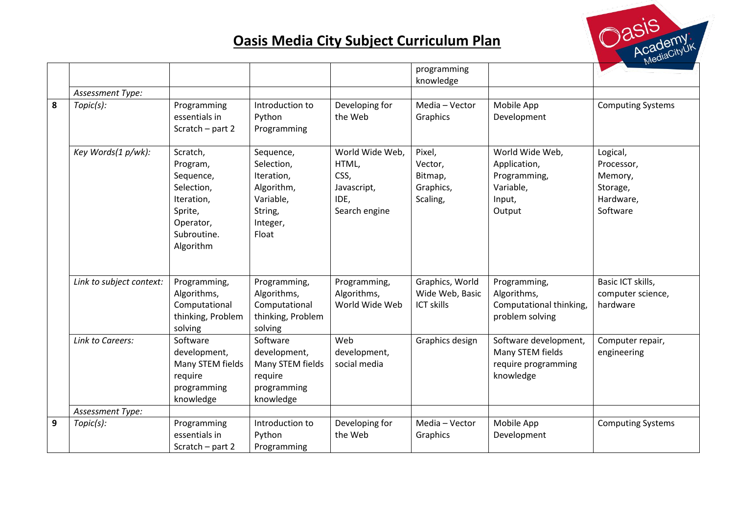

|                |                          |                                                                                                                   |                                                                                                  |                                                                          | programming<br>knowledge                                |                                                                                  |                                                                        |
|----------------|--------------------------|-------------------------------------------------------------------------------------------------------------------|--------------------------------------------------------------------------------------------------|--------------------------------------------------------------------------|---------------------------------------------------------|----------------------------------------------------------------------------------|------------------------------------------------------------------------|
|                | Assessment Type:         |                                                                                                                   |                                                                                                  |                                                                          |                                                         |                                                                                  |                                                                        |
| 8              | Topic(s):                | Programming<br>essentials in<br>Scratch - part 2                                                                  | Introduction to<br>Python<br>Programming                                                         | Developing for<br>the Web                                                | Media - Vector<br>Graphics                              | Mobile App<br>Development                                                        | <b>Computing Systems</b>                                               |
|                | Key Words(1 p/wk):       | Scratch,<br>Program,<br>Sequence,<br>Selection,<br>Iteration,<br>Sprite,<br>Operator,<br>Subroutine.<br>Algorithm | Sequence,<br>Selection,<br>Iteration,<br>Algorithm,<br>Variable,<br>String,<br>Integer,<br>Float | World Wide Web,<br>HTML,<br>CSS,<br>Javascript,<br>IDE,<br>Search engine | Pixel,<br>Vector,<br>Bitmap,<br>Graphics,<br>Scaling,   | World Wide Web,<br>Application,<br>Programming,<br>Variable,<br>Input,<br>Output | Logical,<br>Processor,<br>Memory,<br>Storage,<br>Hardware,<br>Software |
|                | Link to subject context: | Programming,<br>Algorithms,<br>Computational<br>thinking, Problem<br>solving                                      | Programming,<br>Algorithms,<br>Computational<br>thinking, Problem<br>solving                     | Programming,<br>Algorithms,<br>World Wide Web                            | Graphics, World<br>Wide Web, Basic<br><b>ICT skills</b> | Programming,<br>Algorithms,<br>Computational thinking,<br>problem solving        | Basic ICT skills,<br>computer science,<br>hardware                     |
|                | Link to Careers:         | Software<br>development,<br>Many STEM fields<br>require<br>programming<br>knowledge                               | Software<br>development,<br>Many STEM fields<br>require<br>programming<br>knowledge              | Web<br>development,<br>social media                                      | Graphics design                                         | Software development,<br>Many STEM fields<br>require programming<br>knowledge    | Computer repair,<br>engineering                                        |
|                | Assessment Type:         |                                                                                                                   |                                                                                                  |                                                                          |                                                         |                                                                                  |                                                                        |
| $\overline{9}$ | Topic(s):                | Programming<br>essentials in<br>Scratch - part 2                                                                  | Introduction to<br>Python<br>Programming                                                         | Developing for<br>the Web                                                | Media - Vector<br>Graphics                              | Mobile App<br>Development                                                        | <b>Computing Systems</b>                                               |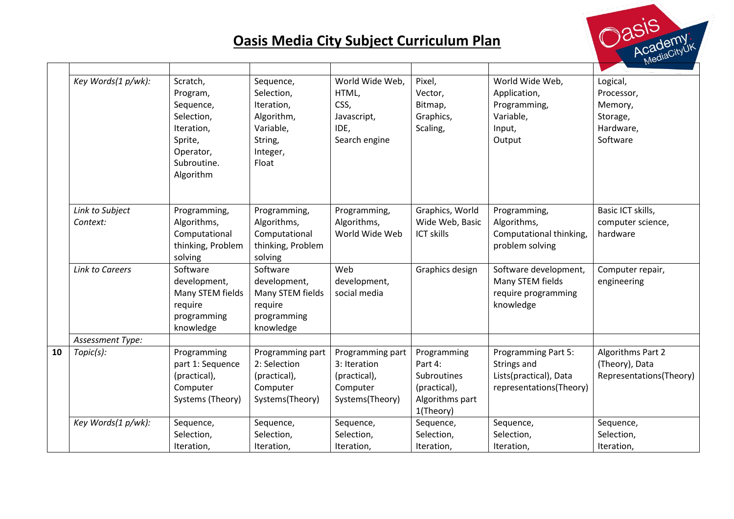

|    | Key Words(1 p/wk):            | Scratch,          | Sequence,         | World Wide Web,  | Pixel,            | World Wide Web,                    | Logical,                |
|----|-------------------------------|-------------------|-------------------|------------------|-------------------|------------------------------------|-------------------------|
|    |                               | Program,          | Selection,        | HTML,            | Vector,           | Application,                       | Processor,              |
|    |                               | Sequence,         | Iteration,        | CSS,             | Bitmap,           | Programming,                       | Memory,                 |
|    |                               | Selection,        | Algorithm,        | Javascript,      | Graphics,         | Variable,                          | Storage,                |
|    |                               | Iteration,        | Variable,         | IDE,             | Scaling,          | Input,                             | Hardware,               |
|    |                               | Sprite,           | String,           | Search engine    |                   | Output                             | Software                |
|    |                               | Operator,         | Integer,          |                  |                   |                                    |                         |
|    |                               | Subroutine.       | Float             |                  |                   |                                    |                         |
|    |                               | Algorithm         |                   |                  |                   |                                    |                         |
|    |                               |                   |                   |                  |                   |                                    |                         |
|    | Link to Subject               | Programming,      | Programming,      | Programming,     | Graphics, World   | Programming,                       | Basic ICT skills,       |
|    | Context:                      | Algorithms,       | Algorithms,       | Algorithms,      | Wide Web, Basic   | Algorithms,                        | computer science,       |
|    |                               | Computational     | Computational     | World Wide Web   | <b>ICT skills</b> | Computational thinking,            | hardware                |
|    |                               | thinking, Problem | thinking, Problem |                  |                   | problem solving                    |                         |
|    |                               | solving           | solving           |                  |                   |                                    |                         |
|    | <b>Link to Careers</b>        | Software          | Software          | Web              | Graphics design   | Software development,              | Computer repair,        |
|    |                               | development,      | development,      | development,     |                   | Many STEM fields                   | engineering             |
|    |                               | Many STEM fields  | Many STEM fields  | social media     |                   | require programming                |                         |
|    |                               | require           | require           |                  |                   | knowledge                          |                         |
|    |                               | programming       | programming       |                  |                   |                                    |                         |
|    |                               | knowledge         | knowledge         |                  |                   |                                    |                         |
| 10 | Assessment Type:<br>Topic(s): | Programming       | Programming part  | Programming part | Programming       |                                    | Algorithms Part 2       |
|    |                               | part 1: Sequence  | 2: Selection      | 3: Iteration     | Part 4:           | Programming Part 5:<br>Strings and | (Theory), Data          |
|    |                               | (practical),      | (practical),      | (practical),     | Subroutines       | Lists(practical), Data             | Representations(Theory) |
|    |                               | Computer          | Computer          | Computer         | (practical),      | representations(Theory)            |                         |
|    |                               | Systems (Theory)  | Systems(Theory)   | Systems(Theory)  | Algorithms part   |                                    |                         |
|    |                               |                   |                   |                  | 1(Theory)         |                                    |                         |
|    | Key Words(1 p/wk):            | Sequence,         | Sequence,         | Sequence,        | Sequence,         | Sequence,                          | Sequence,               |
|    |                               | Selection,        | Selection,        | Selection,       | Selection,        | Selection,                         | Selection,              |
|    |                               | Iteration,        | Iteration,        | Iteration,       | Iteration,        | Iteration,                         | Iteration,              |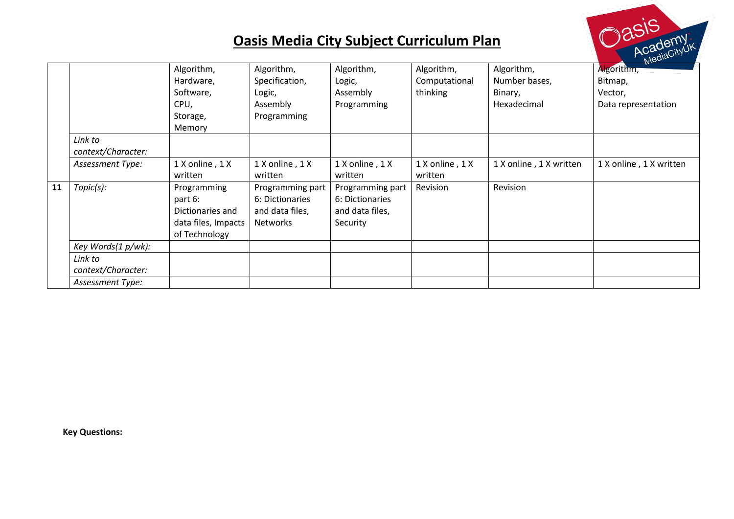

**Key Questions:**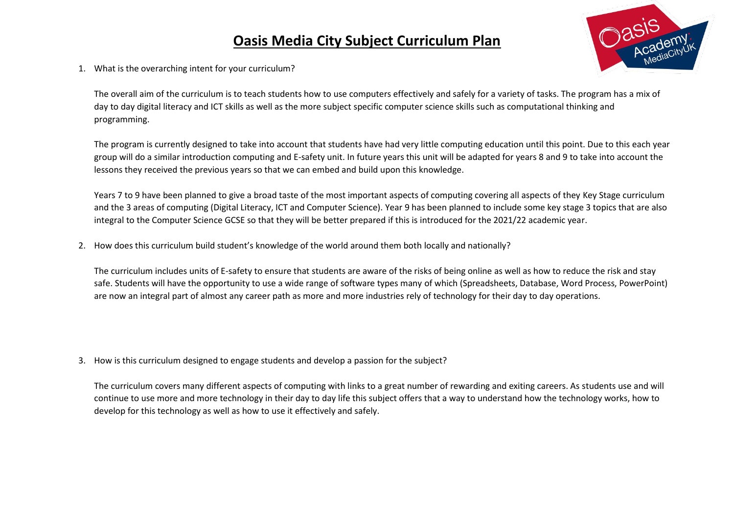

1. What is the overarching intent for your curriculum?

The overall aim of the curriculum is to teach students how to use computers effectively and safely for a variety of tasks. The program has a mix of day to day digital literacy and ICT skills as well as the more subject specific computer science skills such as computational thinking and programming.

The program is currently designed to take into account that students have had very little computing education until this point. Due to this each year group will do a similar introduction computing and E-safety unit. In future years this unit will be adapted for years 8 and 9 to take into account the lessons they received the previous years so that we can embed and build upon this knowledge.

Years 7 to 9 have been planned to give a broad taste of the most important aspects of computing covering all aspects of they Key Stage curriculum and the 3 areas of computing (Digital Literacy, ICT and Computer Science). Year 9 has been planned to include some key stage 3 topics that are also integral to the Computer Science GCSE so that they will be better prepared if this is introduced for the 2021/22 academic year.

2. How does this curriculum build student's knowledge of the world around them both locally and nationally?

The curriculum includes units of E-safety to ensure that students are aware of the risks of being online as well as how to reduce the risk and stay safe. Students will have the opportunity to use a wide range of software types many of which (Spreadsheets, Database, Word Process, PowerPoint) are now an integral part of almost any career path as more and more industries rely of technology for their day to day operations.

3. How is this curriculum designed to engage students and develop a passion for the subject?

The curriculum covers many different aspects of computing with links to a great number of rewarding and exiting careers. As students use and will continue to use more and more technology in their day to day life this subject offers that a way to understand how the technology works, how to develop for this technology as well as how to use it effectively and safely.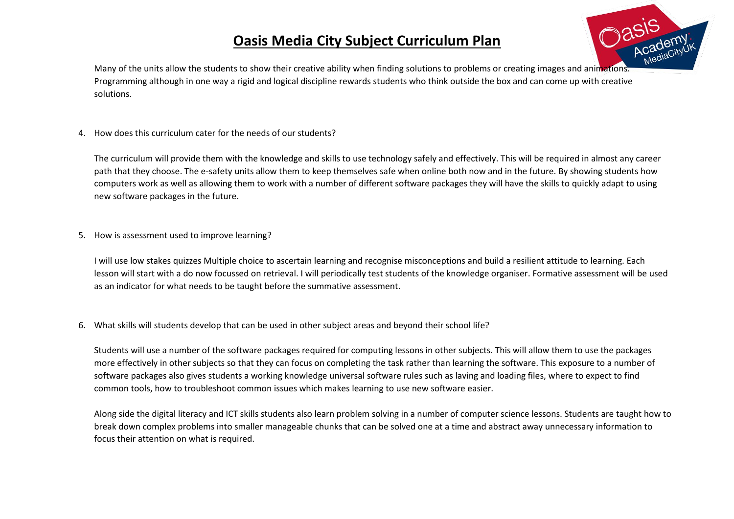

Many of the units allow the students to show their creative ability when finding solutions to problems or creating images and animations. Programming although in one way a rigid and logical discipline rewards students who think outside the box and can come up with creative solutions.

4. How does this curriculum cater for the needs of our students?

The curriculum will provide them with the knowledge and skills to use technology safely and effectively. This will be required in almost any career path that they choose. The e-safety units allow them to keep themselves safe when online both now and in the future. By showing students how computers work as well as allowing them to work with a number of different software packages they will have the skills to quickly adapt to using new software packages in the future.

5. How is assessment used to improve learning?

I will use low stakes quizzes Multiple choice to ascertain learning and recognise misconceptions and build a resilient attitude to learning. Each lesson will start with a do now focussed on retrieval. I will periodically test students of the knowledge organiser. Formative assessment will be used as an indicator for what needs to be taught before the summative assessment.

6. What skills will students develop that can be used in other subject areas and beyond their school life?

Students will use a number of the software packages required for computing lessons in other subjects. This will allow them to use the packages more effectively in other subjects so that they can focus on completing the task rather than learning the software. This exposure to a number of software packages also gives students a working knowledge universal software rules such as laving and loading files, where to expect to find common tools, how to troubleshoot common issues which makes learning to use new software easier.

Along side the digital literacy and ICT skills students also learn problem solving in a number of computer science lessons. Students are taught how to break down complex problems into smaller manageable chunks that can be solved one at a time and abstract away unnecessary information to focus their attention on what is required.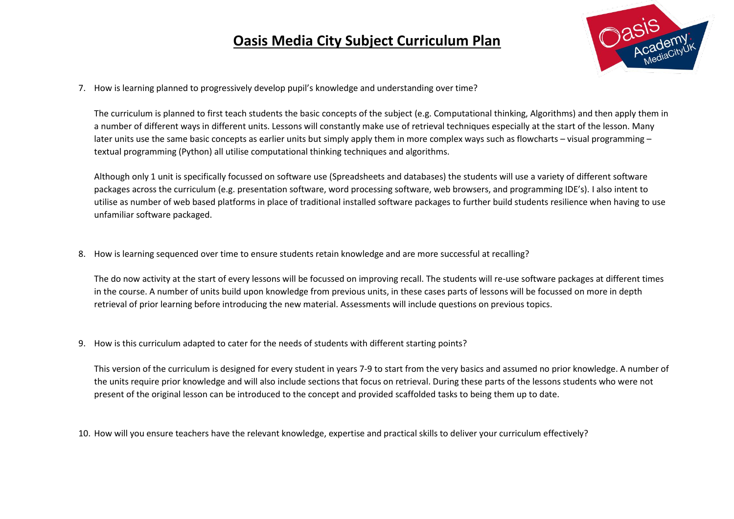

7. How is learning planned to progressively develop pupil's knowledge and understanding over time?

The curriculum is planned to first teach students the basic concepts of the subject (e.g. Computational thinking, Algorithms) and then apply them in a number of different ways in different units. Lessons will constantly make use of retrieval techniques especially at the start of the lesson. Many later units use the same basic concepts as earlier units but simply apply them in more complex ways such as flowcharts – visual programming – textual programming (Python) all utilise computational thinking techniques and algorithms.

Although only 1 unit is specifically focussed on software use (Spreadsheets and databases) the students will use a variety of different software packages across the curriculum (e.g. presentation software, word processing software, web browsers, and programming IDE's). I also intent to utilise as number of web based platforms in place of traditional installed software packages to further build students resilience when having to use unfamiliar software packaged.

8. How is learning sequenced over time to ensure students retain knowledge and are more successful at recalling?

The do now activity at the start of every lessons will be focussed on improving recall. The students will re-use software packages at different times in the course. A number of units build upon knowledge from previous units, in these cases parts of lessons will be focussed on more in depth retrieval of prior learning before introducing the new material. Assessments will include questions on previous topics.

9. How is this curriculum adapted to cater for the needs of students with different starting points?

This version of the curriculum is designed for every student in years 7-9 to start from the very basics and assumed no prior knowledge. A number of the units require prior knowledge and will also include sections that focus on retrieval. During these parts of the lessons students who were not present of the original lesson can be introduced to the concept and provided scaffolded tasks to being them up to date.

10. How will you ensure teachers have the relevant knowledge, expertise and practical skills to deliver your curriculum effectively?